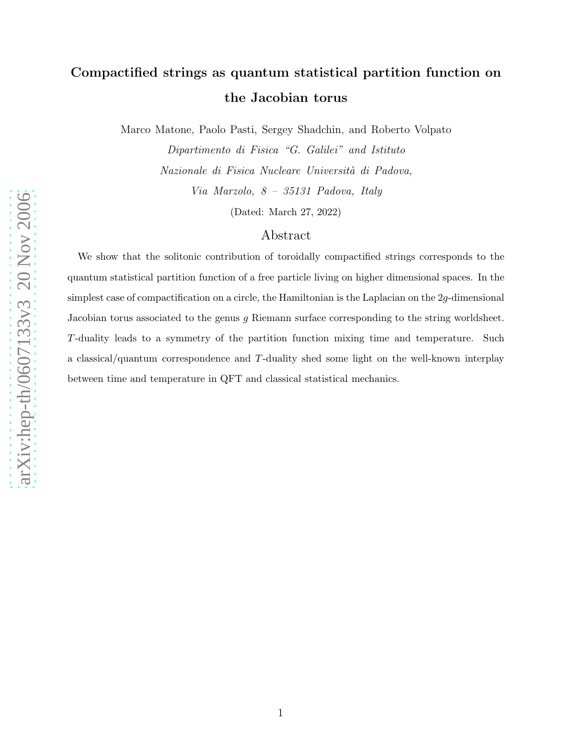## Compactified strings as quantum statistical partition function on the Jacobian torus

Marco Matone, Paolo Pasti, Sergey Shadchin, and Roberto Volpato

Dipartimento di Fisica "G. Galilei" and Istituto Nazionale di Fisica Nucleare Università di Padova, Via Marzolo, 8 – 35131 Padova, Italy

(Dated: March 27, 2022)

## Abstract

We show that the solitonic contribution of toroidally compactified strings corresponds to the quantum statistical partition function of a free particle living on higher dimensional spaces. In the simplest case of compactification on a circle, the Hamiltonian is the Laplacian on the  $2g$ -dimensional Jacobian torus associated to the genus g Riemann surface corresponding to the string worldsheet. T-duality leads to a symmetry of the partition function mixing time and temperature. Such a classical/quantum correspondence and T-duality shed some light on the well-known interplay between time and temperature in QFT and classical statistical mechanics.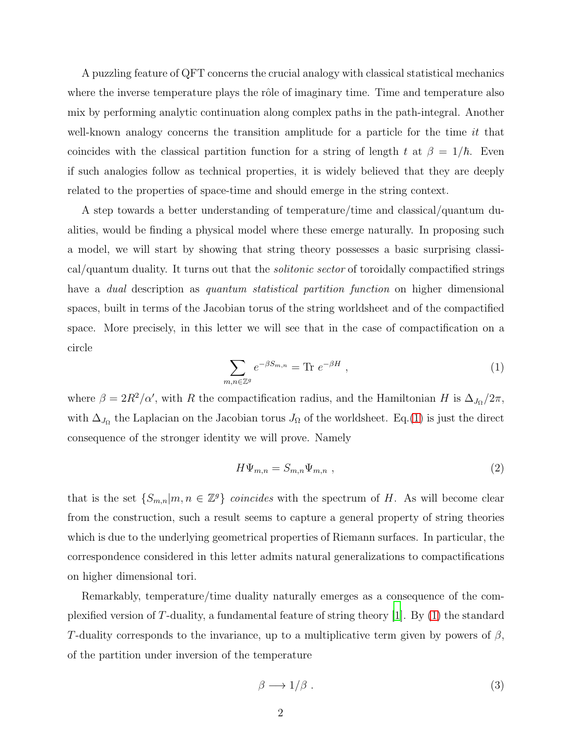A puzzling feature of QFT concerns the crucial analogy with classical statistical mechanics where the inverse temperature plays the rôle of imaginary time. Time and temperature also mix by performing analytic continuation along complex paths in the path-integral. Another well-known analogy concerns the transition amplitude for a particle for the time  $it$  that coincides with the classical partition function for a string of length t at  $\beta = 1/\hbar$ . Even if such analogies follow as technical properties, it is widely believed that they are deeply related to the properties of space-time and should emerge in the string context.

A step towards a better understanding of temperature/time and classical/quantum dualities, would be finding a physical model where these emerge naturally. In proposing such a model, we will start by showing that string theory possesses a basic surprising classical/quantum duality. It turns out that the solitonic sector of toroidally compactified strings have a *dual* description as *quantum statistical partition function* on higher dimensional spaces, built in terms of the Jacobian torus of the string worldsheet and of the compactified space. More precisely, in this letter we will see that in the case of compactification on a circle

<span id="page-1-0"></span>
$$
\sum_{m,n\in\mathbb{Z}^g} e^{-\beta S_{m,n}} = \text{Tr } e^{-\beta H} \tag{1}
$$

where  $\beta = 2R^2/\alpha'$ , with R the compactification radius, and the Hamiltonian H is  $\Delta_{J_{\Omega}}/2\pi$ , with  $\Delta_{J_{\Omega}}$  the Laplacian on the Jacobian torus  $J_{\Omega}$  of the worldsheet. Eq.[\(1\)](#page-1-0) is just the direct consequence of the stronger identity we will prove. Namely

$$
H\Psi_{m,n} = S_{m,n}\Psi_{m,n} \tag{2}
$$

that is the set  $\{S_{m,n}|m,n \in \mathbb{Z}^g\}$  coincides with the spectrum of H. As will become clear from the construction, such a result seems to capture a general property of string theories which is due to the underlying geometrical properties of Riemann surfaces. In particular, the correspondence considered in this letter admits natural generalizations to compactifications on higher dimensional tori.

Remarkably, temperature/time duality naturally emerges as a consequence of the complexified version of T-duality, a fundamental feature of string theory [\[1\]](#page-9-0). By [\(1\)](#page-1-0) the standard T-duality corresponds to the invariance, up to a multiplicative term given by powers of  $\beta$ , of the partition under inversion of the temperature

<span id="page-1-1"></span>
$$
\beta \longrightarrow 1/\beta \tag{3}
$$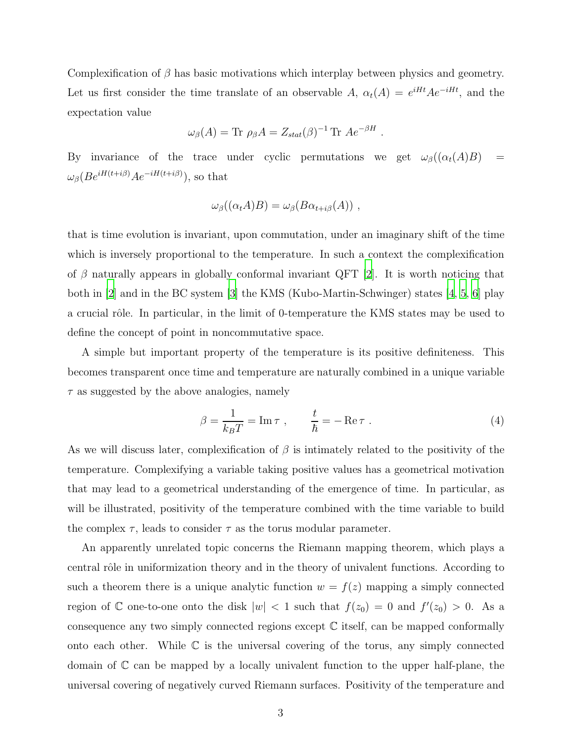Complexification of  $\beta$  has basic motivations which interplay between physics and geometry. Let us first consider the time translate of an observable A,  $\alpha_t(A) = e^{iHt}Ae^{-iHt}$ , and the expectation value

$$
\omega_{\beta}(A) = \text{Tr} \ \rho_{\beta}A = Z_{stat}(\beta)^{-1} \text{Tr} \ Ae^{-\beta H}.
$$

By invariance of the trace under cyclic permutations we get  $\omega_{\beta}((\alpha_t(A)B))$  =  $\omega_{\beta} (Be^{iH(t+i\beta)}Ae^{-iH(t+i\beta)})$ , so that

$$
\omega_{\beta}((\alpha_t A)B) = \omega_{\beta}(B\alpha_{t+i\beta}(A)),
$$

that is time evolution is invariant, upon commutation, under an imaginary shift of the time which is inversely proportional to the temperature. In such a context the complexification of  $\beta$  naturally appears in globally conformal invariant QFT [\[2\]](#page-9-1). It is worth noticing that both in [\[2\]](#page-9-1) and in the BC system [\[3](#page-9-2)] the KMS (Kubo-Martin-Schwinger) states [\[4,](#page-9-3) [5](#page-9-4), [6](#page-9-5)] play a crucial rôle. In particular, in the limit of 0-temperature the KMS states may be used to define the concept of point in noncommutative space.

A simple but important property of the temperature is its positive definiteness. This becomes transparent once time and temperature are naturally combined in a unique variable  $\tau$  as suggested by the above analogies, namely

<span id="page-2-0"></span>
$$
\beta = \frac{1}{k_B T} = \text{Im}\,\tau \;, \qquad \frac{t}{\hbar} = -\text{Re}\,\tau \;.
$$
 (4)

As we will discuss later, complexification of  $\beta$  is intimately related to the positivity of the temperature. Complexifying a variable taking positive values has a geometrical motivation that may lead to a geometrical understanding of the emergence of time. In particular, as will be illustrated, positivity of the temperature combined with the time variable to build the complex  $\tau$ , leads to consider  $\tau$  as the torus modular parameter.

An apparently unrelated topic concerns the Riemann mapping theorem, which plays a central rôle in uniformization theory and in the theory of univalent functions. According to such a theorem there is a unique analytic function  $w = f(z)$  mapping a simply connected region of  $\mathbb C$  one-to-one onto the disk  $|w| < 1$  such that  $f(z_0) = 0$  and  $f'(z_0) > 0$ . As a consequence any two simply connected regions except C itself, can be mapped conformally onto each other. While  $\mathbb C$  is the universal covering of the torus, any simply connected domain of  $\mathbb C$  can be mapped by a locally univalent function to the upper half-plane, the universal covering of negatively curved Riemann surfaces. Positivity of the temperature and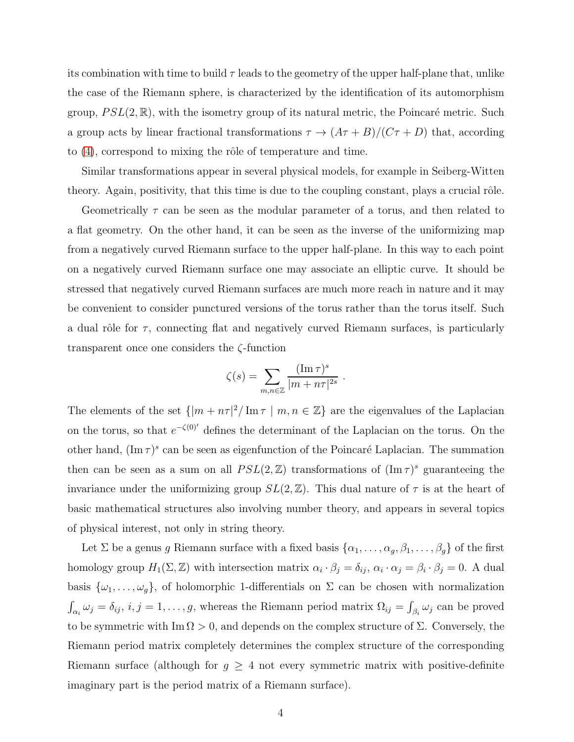its combination with time to build  $\tau$  leads to the geometry of the upper half-plane that, unlike the case of the Riemann sphere, is characterized by the identification of its automorphism group,  $PSL(2,\mathbb{R})$ , with the isometry group of its natural metric, the Poincaré metric. Such a group acts by linear fractional transformations  $\tau \to (A\tau + B)/(C\tau + D)$  that, according to  $(4)$ , correspond to mixing the rôle of temperature and time.

Similar transformations appear in several physical models, for example in Seiberg-Witten theory. Again, positivity, that this time is due to the coupling constant, plays a crucial rôle.

Geometrically  $\tau$  can be seen as the modular parameter of a torus, and then related to a flat geometry. On the other hand, it can be seen as the inverse of the uniformizing map from a negatively curved Riemann surface to the upper half-plane. In this way to each point on a negatively curved Riemann surface one may associate an elliptic curve. It should be stressed that negatively curved Riemann surfaces are much more reach in nature and it may be convenient to consider punctured versions of the torus rather than the torus itself. Such a dual rôle for  $\tau$ , connecting flat and negatively curved Riemann surfaces, is particularly transparent once one considers the ζ-function

$$
\zeta(s) = \sum_{m,n \in \mathbb{Z}} \frac{(\operatorname{Im} \tau)^s}{|m + n\tau|^{2s}}.
$$

The elements of the set  $\{|m + n\tau|^2 / \text{Im}\,\tau | m, n \in \mathbb{Z}\}\$  are the eigenvalues of the Laplacian on the torus, so that  $e^{-\zeta(0)}$  defines the determinant of the Laplacian on the torus. On the other hand,  $(\text{Im }\tau)^s$  can be seen as eigenfunction of the Poincaré Laplacian. The summation then can be seen as a sum on all  $PSL(2, \mathbb{Z})$  transformations of  $(\text{Im }\tau)^s$  guaranteeing the invariance under the uniformizing group  $SL(2, \mathbb{Z})$ . This dual nature of  $\tau$  is at the heart of basic mathematical structures also involving number theory, and appears in several topics of physical interest, not only in string theory.

Let  $\Sigma$  be a genus g Riemann surface with a fixed basis  $\{\alpha_1, \ldots, \alpha_g, \beta_1, \ldots, \beta_g\}$  of the first homology group  $H_1(\Sigma, \mathbb{Z})$  with intersection matrix  $\alpha_i \cdot \beta_j = \delta_{ij}$ ,  $\alpha_i \cdot \alpha_j = \beta_i \cdot \beta_j = 0$ . A dual basis  $\{\omega_1,\ldots,\omega_q\}$ , of holomorphic 1-differentials on  $\Sigma$  can be chosen with normalization  $\int_{\alpha_i} \omega_j = \delta_{ij}, i, j = 1, \ldots, g$ , whereas the Riemann period matrix  $\Omega_{ij} = \int_{\beta_i} \omega_j$  can be proved to be symmetric with  $\text{Im }\Omega > 0$ , and depends on the complex structure of  $\Sigma$ . Conversely, the Riemann period matrix completely determines the complex structure of the corresponding Riemann surface (although for  $g \geq 4$  not every symmetric matrix with positive-definite imaginary part is the period matrix of a Riemann surface).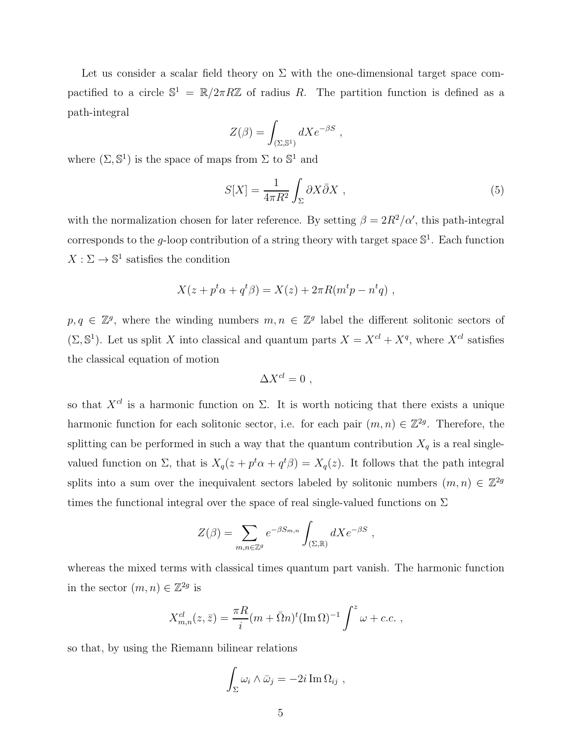Let us consider a scalar field theory on  $\Sigma$  with the one-dimensional target space compactified to a circle  $\mathbb{S}^1 = \mathbb{R}/2\pi R\mathbb{Z}$  of radius R. The partition function is defined as a path-integral

$$
Z(\beta) = \int_{(\Sigma, \mathbb{S}^1)} dX e^{-\beta S} ,
$$

where  $(\Sigma, \mathbb{S}^1)$  is the space of maps from  $\Sigma$  to  $\mathbb{S}^1$  and

$$
S[X] = \frac{1}{4\pi R^2} \int_{\Sigma} \partial X \bar{\partial} X \;, \tag{5}
$$

with the normalization chosen for later reference. By setting  $\beta = 2R^2/\alpha'$ , this path-integral corresponds to the g-loop contribution of a string theory with target space  $\mathbb{S}^1$ . Each function  $X:\Sigma\to\mathbb{S}^1$  satisfies the condition

$$
X(z + pt \alpha + qt \beta) = X(z) + 2\pi R(mt p - nt q) ,
$$

 $p, q \in \mathbb{Z}^g$ , where the winding numbers  $m, n \in \mathbb{Z}^g$  label the different solitonic sectors of  $(\Sigma, \mathbb{S}^1)$ . Let us split X into classical and quantum parts  $X = X^{cl} + X^q$ , where  $X^{cl}$  satisfies the classical equation of motion

$$
\Delta X^{cl}=0\ ,
$$

so that  $X^{cl}$  is a harmonic function on  $\Sigma$ . It is worth noticing that there exists a unique harmonic function for each solitonic sector, i.e. for each pair  $(m, n) \in \mathbb{Z}^{2g}$ . Therefore, the splitting can be performed in such a way that the quantum contribution  $X_q$  is a real singlevalued function on  $\Sigma$ , that is  $X_q(z + p^t \alpha + q^t \beta) = X_q(z)$ . It follows that the path integral splits into a sum over the inequivalent sectors labeled by solitonic numbers  $(m, n) \in \mathbb{Z}^{2g}$ times the functional integral over the space of real single-valued functions on  $\Sigma$ 

$$
Z(\beta) = \sum_{m,n \in \mathbb{Z}^g} e^{-\beta S_{m,n}} \int_{(\Sigma,\mathbb{R})} dX e^{-\beta S} ,
$$

whereas the mixed terms with classical times quantum part vanish. The harmonic function in the sector  $(m, n) \in \mathbb{Z}^{2g}$  is

$$
X_{m,n}^{cl}(z,\bar{z}) = \frac{\pi R}{i} (m + \bar{\Omega}n)^t (\text{Im }\Omega)^{-1} \int^z \omega + c.c. ,
$$

so that, by using the Riemann bilinear relations

$$
\int_{\Sigma} \omega_i \wedge \bar{\omega}_j = -2i \operatorname{Im} \Omega_{ij} ,
$$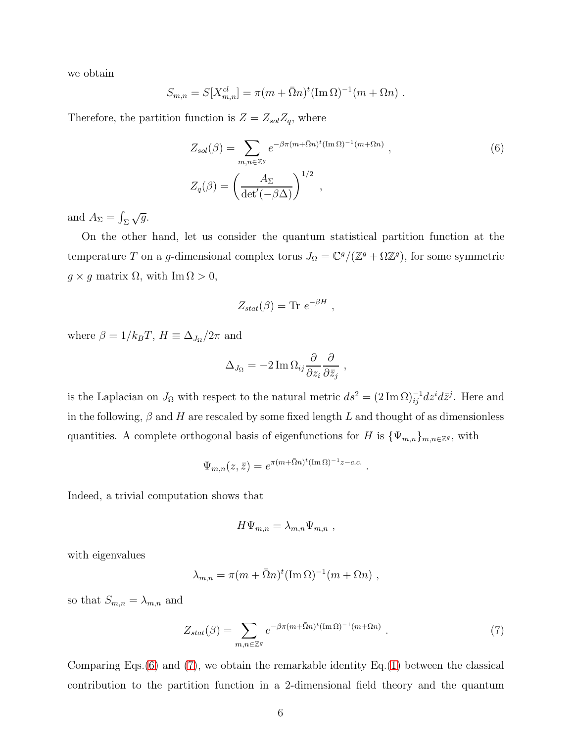we obtain

$$
S_{m,n} = S[X_{m,n}^{cl}] = \pi (m + \bar{\Omega}n)^{t} (\text{Im }\Omega)^{-1} (m + \Omega n) .
$$

Therefore, the partition function is  $Z = Z_{sol}Z_q$ , where

<span id="page-5-0"></span>
$$
Z_{sol}(\beta) = \sum_{m,n \in \mathbb{Z}^g} e^{-\beta \pi (m + \bar{\Omega}n)^t (\text{Im }\Omega)^{-1} (m + \Omega n)},
$$
\n
$$
Z_q(\beta) = \left(\frac{A_{\Sigma}}{\det'(-\beta \Delta)}\right)^{1/2},
$$
\n(6)

and  $A_{\Sigma} = \int_{\Sigma} \sqrt{g}$ .

On the other hand, let us consider the quantum statistical partition function at the temperature T on a g-dimensional complex torus  $J_{\Omega} = \mathbb{C}^g/(\mathbb{Z}^g + \Omega \mathbb{Z}^g)$ , for some symmetric  $g \times g$  matrix  $\Omega$ , with  $\text{Im } \Omega > 0$ ,

$$
Z_{stat}(\beta) = \text{Tr} \ e^{-\beta H} \ ,
$$

where  $\beta = 1/k_B T$ ,  $H \equiv \Delta_{J_{\Omega}}/2\pi$  and

$$
\Delta_{J_{\Omega}} = -2 \operatorname{Im} \Omega_{ij} \frac{\partial}{\partial z_i} \frac{\partial}{\partial \bar{z}_j} ,
$$

is the Laplacian on  $J_{\Omega}$  with respect to the natural metric  $ds^2 = (2 \text{Im }\Omega)^{-1}_{ij} dz^i d\bar{z}^j$ . Here and in the following,  $\beta$  and H are rescaled by some fixed length L and thought of as dimensionless quantities. A complete orthogonal basis of eigenfunctions for H is  $\{\Psi_{m,n}\}_{m,n\in\mathbb{Z}^g}$ , with

$$
\Psi_{m,n}(z,\bar{z}) = e^{\pi (m+\bar{\Omega}n)^t (\operatorname{Im} \Omega)^{-1} z - c.c.}.
$$

Indeed, a trivial computation shows that

$$
H\Psi_{m,n} = \lambda_{m,n} \Psi_{m,n} ,
$$

with eigenvalues

$$
\lambda_{m,n} = \pi (m + \bar{\Omega} n)^t (\text{Im}\,\Omega)^{-1} (m + \Omega n) ,
$$

so that  $S_{m,n} = \lambda_{m,n}$  and

<span id="page-5-1"></span>
$$
Z_{stat}(\beta) = \sum_{m,n \in \mathbb{Z}^g} e^{-\beta \pi (m + \bar{\Omega}n)^t (\text{Im}\,\Omega)^{-1} (m + \Omegan)} \ . \tag{7}
$$

Comparing Eqs. $(6)$  and  $(7)$ , we obtain the remarkable identity Eq. $(1)$  between the classical contribution to the partition function in a 2-dimensional field theory and the quantum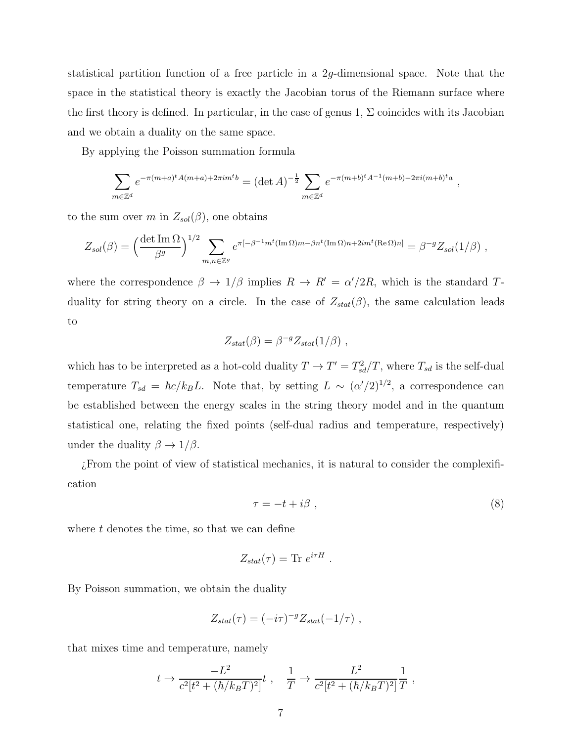statistical partition function of a free particle in a 2g-dimensional space. Note that the space in the statistical theory is exactly the Jacobian torus of the Riemann surface where the first theory is defined. In particular, in the case of genus 1,  $\Sigma$  coincides with its Jacobian and we obtain a duality on the same space.

By applying the Poisson summation formula

$$
\sum_{m \in \mathbb{Z}^d} e^{-\pi (m+a)^t A(m+a) + 2\pi i m^t b} = (\det A)^{-\frac{1}{2}} \sum_{m \in \mathbb{Z}^d} e^{-\pi (m+b)^t A^{-1} (m+b) - 2\pi i (m+b)^t a} ,
$$

to the sum over m in  $Z_{sol}(\beta)$ , one obtains

$$
Z_{sol}(\beta) = \left(\frac{\det \operatorname{Im} \Omega}{\beta^g}\right)^{1/2} \sum_{m,n \in \mathbb{Z}^g} e^{\pi[-\beta^{-1}m^t(\operatorname{Im} \Omega)m - \beta n^t(\operatorname{Im} \Omega)n + 2im^t(\operatorname{Re} \Omega)n]} = \beta^{-g} Z_{sol}(1/\beta) ,
$$

where the correspondence  $\beta \to 1/\beta$  implies  $R \to R' = \alpha'/2R$ , which is the standard Tduality for string theory on a circle. In the case of  $Z_{stat}(\beta)$ , the same calculation leads to

$$
Z_{stat}(\beta) = \beta^{-g} Z_{stat}(1/\beta) ,
$$

which has to be interpreted as a hot-cold duality  $T \to T' = T_{sd}^2/T$ , where  $T_{sd}$  is the self-dual temperature  $T_{sd} = \hbar c / k_B L$ . Note that, by setting  $L \sim (\alpha'/2)^{1/2}$ , a correspondence can be established between the energy scales in the string theory model and in the quantum statistical one, relating the fixed points (self-dual radius and temperature, respectively) under the duality  $\beta \to 1/\beta$ .

¿From the point of view of statistical mechanics, it is natural to consider the complexification

<span id="page-6-0"></span>
$$
\tau = -t + i\beta \tag{8}
$$

where  $t$  denotes the time, so that we can define

$$
Z_{stat}(\tau) = \text{Tr } e^{i\tau H} .
$$

By Poisson summation, we obtain the duality

$$
Z_{stat}(\tau) = (-i\tau)^{-g} Z_{stat}(-1/\tau) ,
$$

that mixes time and temperature, namely

$$
t \to \frac{-L^2}{c^2[t^2 + (\hbar/k_BT)^2]}t
$$
,  $\frac{1}{T} \to \frac{L^2}{c^2[t^2 + (\hbar/k_BT)^2]} \frac{1}{T}$ ,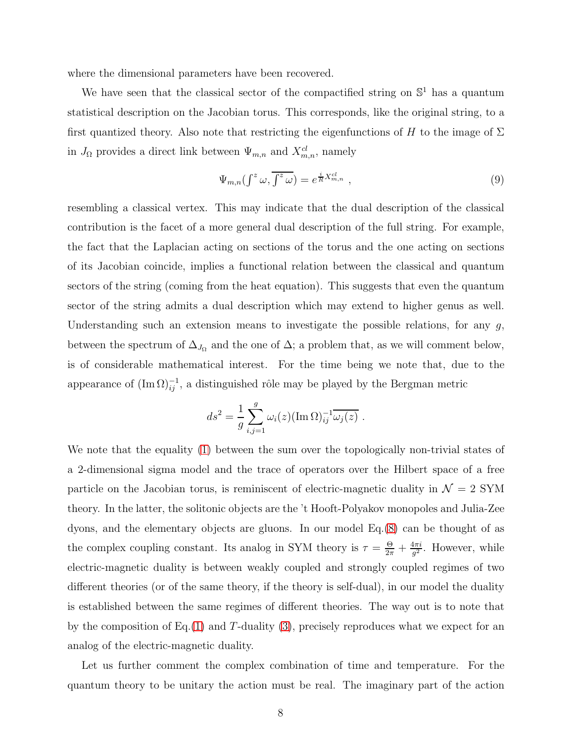where the dimensional parameters have been recovered.

We have seen that the classical sector of the compactified string on  $\mathbb{S}^1$  has a quantum statistical description on the Jacobian torus. This corresponds, like the original string, to a first quantized theory. Also note that restricting the eigenfunctions of H to the image of  $\Sigma$ in  $J_{\Omega}$  provides a direct link between  $\Psi_{m,n}$  and  $X_{m,n}^{cl}$ , namely

$$
\Psi_{m,n}(\int^{z} \omega, \overline{\int^{z} \omega}) = e^{\frac{i}{R} X_{m,n}^{cl}}, \qquad (9)
$$

resembling a classical vertex. This may indicate that the dual description of the classical contribution is the facet of a more general dual description of the full string. For example, the fact that the Laplacian acting on sections of the torus and the one acting on sections of its Jacobian coincide, implies a functional relation between the classical and quantum sectors of the string (coming from the heat equation). This suggests that even the quantum sector of the string admits a dual description which may extend to higher genus as well. Understanding such an extension means to investigate the possible relations, for any  $g$ , between the spectrum of  $\Delta_{J_{\Omega}}$  and the one of  $\Delta$ ; a problem that, as we will comment below, is of considerable mathematical interest. For the time being we note that, due to the appearance of  $(\text{Im }\Omega)^{-1}_{ij}$ , a distinguished rôle may be played by the Bergman metric

$$
ds^{2} = \frac{1}{g} \sum_{i,j=1}^{g} \omega_{i}(z) (\operatorname{Im} \Omega)^{-1}_{ij} \overline{\omega_{j}(z)} .
$$

We note that the equality [\(1\)](#page-1-0) between the sum over the topologically non-trivial states of a 2-dimensional sigma model and the trace of operators over the Hilbert space of a free particle on the Jacobian torus, is reminiscent of electric-magnetic duality in  $\mathcal{N} = 2$  SYM theory. In the latter, the solitonic objects are the 't Hooft-Polyakov monopoles and Julia-Zee dyons, and the elementary objects are gluons. In our model Eq.[\(8\)](#page-6-0) can be thought of as the complex coupling constant. Its analog in SYM theory is  $\tau = \frac{\Theta}{2\pi} + \frac{4\pi i}{g^2}$  $rac{4\pi i}{g^2}$ . However, while electric-magnetic duality is between weakly coupled and strongly coupled regimes of two different theories (or of the same theory, if the theory is self-dual), in our model the duality is established between the same regimes of different theories. The way out is to note that by the composition of Eq.[\(1\)](#page-1-0) and T-duality [\(3\)](#page-1-1), precisely reproduces what we expect for an analog of the electric-magnetic duality.

Let us further comment the complex combination of time and temperature. For the quantum theory to be unitary the action must be real. The imaginary part of the action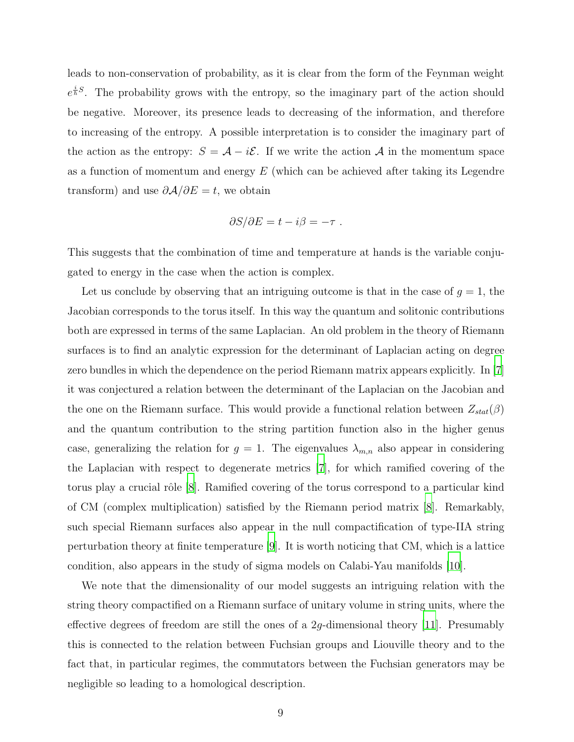leads to non-conservation of probability, as it is clear from the form of the Feynman weight  $e^{\frac{i}{\hbar}S}$ . The probability grows with the entropy, so the imaginary part of the action should be negative. Moreover, its presence leads to decreasing of the information, and therefore to increasing of the entropy. A possible interpretation is to consider the imaginary part of the action as the entropy:  $S = \mathcal{A} - i\mathcal{E}$ . If we write the action  $\mathcal{A}$  in the momentum space as a function of momentum and energy  $E$  (which can be achieved after taking its Legendre transform) and use  $\partial \mathcal{A}/\partial E = t$ , we obtain

$$
\partial S/\partial E = t - i\beta = -\tau.
$$

This suggests that the combination of time and temperature at hands is the variable conjugated to energy in the case when the action is complex.

Let us conclude by observing that an intriguing outcome is that in the case of  $g = 1$ , the Jacobian corresponds to the torus itself. In this way the quantum and solitonic contributions both are expressed in terms of the same Laplacian. An old problem in the theory of Riemann surfaces is to find an analytic expression for the determinant of Laplacian acting on degree zero bundles in which the dependence on the period Riemann matrix appears explicitly. In [\[7\]](#page-9-6) it was conjectured a relation between the determinant of the Laplacian on the Jacobian and the one on the Riemann surface. This would provide a functional relation between  $Z_{stat}(\beta)$ and the quantum contribution to the string partition function also in the higher genus case, generalizing the relation for  $g = 1$ . The eigenvalues  $\lambda_{m,n}$  also appear in considering the Laplacian with respect to degenerate metrics [\[7\]](#page-9-6), for which ramified covering of the torus play a crucial rôle [\[8](#page-9-7)]. Ramified covering of the torus correspond to a particular kind of CM (complex multiplication) satisfied by the Riemann period matrix [\[8\]](#page-9-7). Remarkably, such special Riemann surfaces also appear in the null compactification of type-IIA string perturbation theory at finite temperature [\[9](#page-9-8)]. It is worth noticing that CM, which is a lattice condition, also appears in the study of sigma models on Calabi-Yau manifolds [\[10\]](#page-9-9).

We note that the dimensionality of our model suggests an intriguing relation with the string theory compactified on a Riemann surface of unitary volume in string units, where the effective degrees of freedom are still the ones of a  $2q$ -dimensional theory [\[11\]](#page-9-10). Presumably this is connected to the relation between Fuchsian groups and Liouville theory and to the fact that, in particular regimes, the commutators between the Fuchsian generators may be negligible so leading to a homological description.